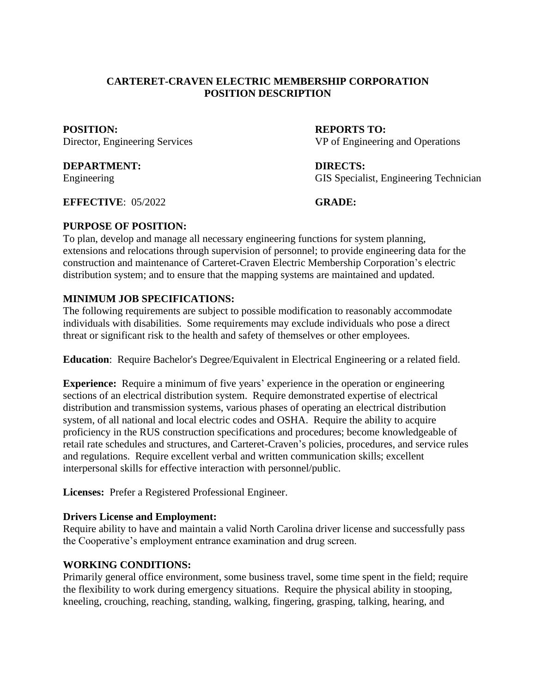#### **CARTERET-CRAVEN ELECTRIC MEMBERSHIP CORPORATION POSITION DESCRIPTION**

# **DEPARTMENT: DIRECTS:**

**POSITION: REPORTS TO:** Director, Engineering Services VP of Engineering and Operations

Engineering GIS Specialist, Engineering Technician

**EFFECTIVE**: 05/2022 **GRADE:** 

# **PURPOSE OF POSITION:**

To plan, develop and manage all necessary engineering functions for system planning, extensions and relocations through supervision of personnel; to provide engineering data for the construction and maintenance of Carteret-Craven Electric Membership Corporation's electric distribution system; and to ensure that the mapping systems are maintained and updated.

# **MINIMUM JOB SPECIFICATIONS:**

The following requirements are subject to possible modification to reasonably accommodate individuals with disabilities. Some requirements may exclude individuals who pose a direct threat or significant risk to the health and safety of themselves or other employees.

**Education**: Require Bachelor's Degree/Equivalent in Electrical Engineering or a related field.

**Experience:** Require a minimum of five years' experience in the operation or engineering sections of an electrical distribution system. Require demonstrated expertise of electrical distribution and transmission systems, various phases of operating an electrical distribution system, of all national and local electric codes and OSHA. Require the ability to acquire proficiency in the RUS construction specifications and procedures; become knowledgeable of retail rate schedules and structures, and Carteret-Craven's policies, procedures, and service rules and regulations. Require excellent verbal and written communication skills; excellent interpersonal skills for effective interaction with personnel/public.

**Licenses:** Prefer a Registered Professional Engineer.

## **Drivers License and Employment:**

Require ability to have and maintain a valid North Carolina driver license and successfully pass the Cooperative's employment entrance examination and drug screen.

## **WORKING CONDITIONS:**

Primarily general office environment, some business travel, some time spent in the field; require the flexibility to work during emergency situations. Require the physical ability in stooping, kneeling, crouching, reaching, standing, walking, fingering, grasping, talking, hearing, and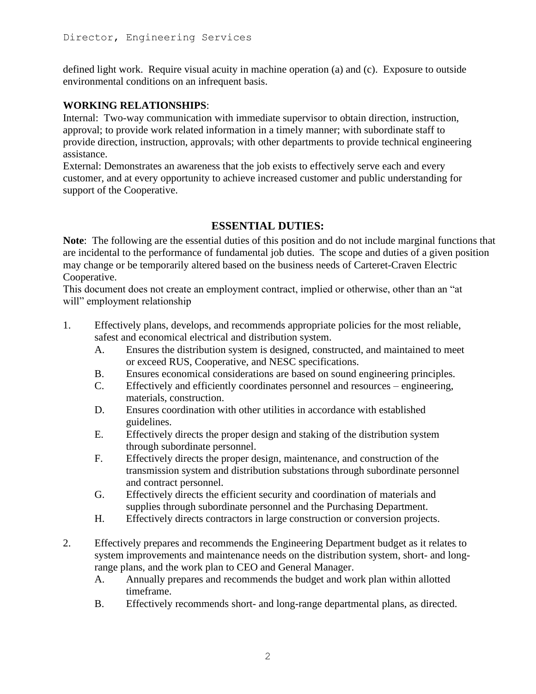defined light work. Require visual acuity in machine operation (a) and (c). Exposure to outside environmental conditions on an infrequent basis.

#### **WORKING RELATIONSHIPS**:

Internal: Two-way communication with immediate supervisor to obtain direction, instruction, approval; to provide work related information in a timely manner; with subordinate staff to provide direction, instruction, approvals; with other departments to provide technical engineering assistance.

External: Demonstrates an awareness that the job exists to effectively serve each and every customer, and at every opportunity to achieve increased customer and public understanding for support of the Cooperative.

# **ESSENTIAL DUTIES:**

**Note**: The following are the essential duties of this position and do not include marginal functions that are incidental to the performance of fundamental job duties. The scope and duties of a given position may change or be temporarily altered based on the business needs of Carteret-Craven Electric Cooperative.

This document does not create an employment contract, implied or otherwise, other than an "at will" employment relationship

- 1. Effectively plans, develops, and recommends appropriate policies for the most reliable, safest and economical electrical and distribution system.
	- A. Ensures the distribution system is designed, constructed, and maintained to meet or exceed RUS, Cooperative, and NESC specifications.
	- B. Ensures economical considerations are based on sound engineering principles.
	- C. Effectively and efficiently coordinates personnel and resources engineering, materials, construction.
	- D. Ensures coordination with other utilities in accordance with established guidelines.
	- E. Effectively directs the proper design and staking of the distribution system through subordinate personnel.
	- F. Effectively directs the proper design, maintenance, and construction of the transmission system and distribution substations through subordinate personnel and contract personnel.
	- G. Effectively directs the efficient security and coordination of materials and supplies through subordinate personnel and the Purchasing Department.
	- H. Effectively directs contractors in large construction or conversion projects.
- 2. Effectively prepares and recommends the Engineering Department budget as it relates to system improvements and maintenance needs on the distribution system, short- and longrange plans, and the work plan to CEO and General Manager.
	- A. Annually prepares and recommends the budget and work plan within allotted timeframe.
	- B. Effectively recommends short- and long-range departmental plans, as directed.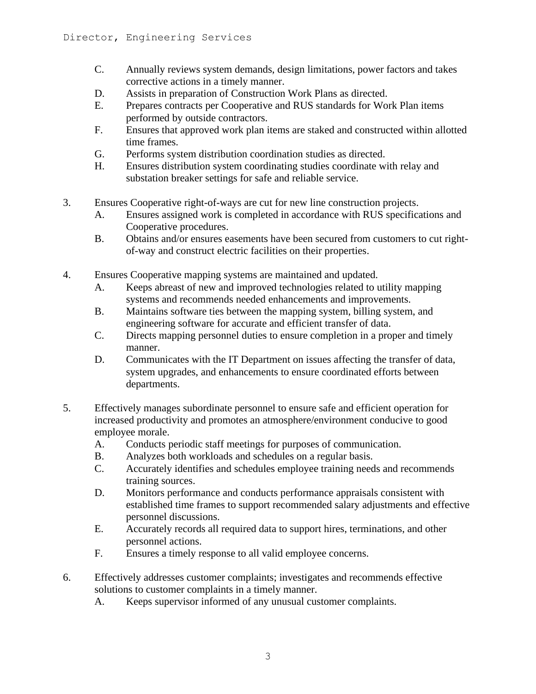- C. Annually reviews system demands, design limitations, power factors and takes corrective actions in a timely manner.
- D. Assists in preparation of Construction Work Plans as directed.
- E. Prepares contracts per Cooperative and RUS standards for Work Plan items performed by outside contractors.
- F. Ensures that approved work plan items are staked and constructed within allotted time frames.
- G. Performs system distribution coordination studies as directed.
- H. Ensures distribution system coordinating studies coordinate with relay and substation breaker settings for safe and reliable service.
- 3. Ensures Cooperative right-of-ways are cut for new line construction projects.
	- A. Ensures assigned work is completed in accordance with RUS specifications and Cooperative procedures.
	- B. Obtains and/or ensures easements have been secured from customers to cut rightof-way and construct electric facilities on their properties.
- 4. Ensures Cooperative mapping systems are maintained and updated.
	- A. Keeps abreast of new and improved technologies related to utility mapping systems and recommends needed enhancements and improvements.
	- B. Maintains software ties between the mapping system, billing system, and engineering software for accurate and efficient transfer of data.
	- C. Directs mapping personnel duties to ensure completion in a proper and timely manner.
	- D. Communicates with the IT Department on issues affecting the transfer of data, system upgrades, and enhancements to ensure coordinated efforts between departments.
- 5. Effectively manages subordinate personnel to ensure safe and efficient operation for increased productivity and promotes an atmosphere/environment conducive to good employee morale.
	- A. Conducts periodic staff meetings for purposes of communication.
	- B. Analyzes both workloads and schedules on a regular basis.
	- C. Accurately identifies and schedules employee training needs and recommends training sources.
	- D. Monitors performance and conducts performance appraisals consistent with established time frames to support recommended salary adjustments and effective personnel discussions.
	- E. Accurately records all required data to support hires, terminations, and other personnel actions.
	- F. Ensures a timely response to all valid employee concerns.
- 6. Effectively addresses customer complaints; investigates and recommends effective solutions to customer complaints in a timely manner.
	- A. Keeps supervisor informed of any unusual customer complaints.